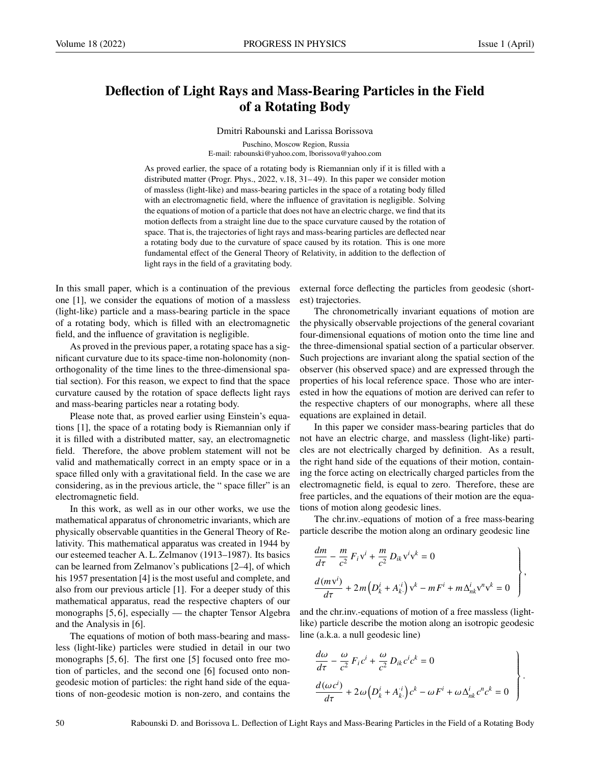## Deflection of Light Rays and Mass-Bearing Particles in the Field of a Rotating Body

Dmitri Rabounski and Larissa Borissova

Puschino, Moscow Region, Russia E-mail: rabounski@yahoo.com, lborissova@yahoo.com

As proved earlier, the space of a rotating body is Riemannian only if it is filled with a distributed matter (Progr. Phys., 2022, v.18, 31– 49). In this paper we consider motion of massless (light-like) and mass-bearing particles in the space of a rotating body filled with an electromagnetic field, where the influence of gravitation is negligible. Solving the equations of motion of a particle that does not have an electric charge, we find that its motion deflects from a straight line due to the space curvature caused by the rotation of space. That is, the trajectories of light rays and mass-bearing particles are deflected near a rotating body due to the curvature of space caused by its rotation. This is one more fundamental effect of the General Theory of Relativity, in addition to the deflection of light rays in the field of a gravitating body.

In this small paper, which is a continuation of the previous one [1], we consider the equations of motion of a massless (light-like) particle and a mass-bearing particle in the space of a rotating body, which is filled with an electromagnetic field, and the influence of gravitation is negligible.

As proved in the previous paper, a rotating space has a significant curvature due to its space-time non-holonomity (nonorthogonality of the time lines to the three-dimensional spatial section). For this reason, we expect to find that the space curvature caused by the rotation of space deflects light rays and mass-bearing particles near a rotating body.

Please note that, as proved earlier using Einstein's equations [1], the space of a rotating body is Riemannian only if it is filled with a distributed matter, say, an electromagnetic field. Therefore, the above problem statement will not be valid and mathematically correct in an empty space or in a space filled only with a gravitational field. In the case we are considering, as in the previous article, the " space filler" is an electromagnetic field.

In this work, as well as in our other works, we use the mathematical apparatus of chronometric invariants, which are physically observable quantities in the General Theory of Relativity. This mathematical apparatus was created in 1944 by our esteemed teacher A. L. Zelmanov (1913–1987). Its basics can be learned from Zelmanov's publications [2–4], of which his 1957 presentation [4] is the most useful and complete, and also from our previous article [1]. For a deeper study of this mathematical apparatus, read the respective chapters of our monographs [5, 6], especially — the chapter Tensor Algebra and the Analysis in [6].

The equations of motion of both mass-bearing and massless (light-like) particles were studied in detail in our two monographs [5, 6]. The first one [5] focused onto free motion of particles, and the second one [6] focused onto nongeodesic motion of particles: the right hand side of the equations of non-geodesic motion is non-zero, and contains the external force deflecting the particles from geodesic (shortest) trajectories.

The chronometrically invariant equations of motion are the physically observable projections of the general covariant four-dimensional equations of motion onto the time line and the three-dimensional spatial section of a particular observer. Such projections are invariant along the spatial section of the observer (his observed space) and are expressed through the properties of his local reference space. Those who are interested in how the equations of motion are derived can refer to the respective chapters of our monographs, where all these equations are explained in detail.

In this paper we consider mass-bearing particles that do not have an electric charge, and massless (light-like) particles are not electrically charged by definition. As a result, the right hand side of the equations of their motion, containing the force acting on electrically charged particles from the electromagnetic field, is equal to zero. Therefore, these are free particles, and the equations of their motion are the equations of motion along geodesic lines.

The chr.inv.-equations of motion of a free mass-bearing particle describe the motion along an ordinary geodesic line

$$
\frac{dm}{d\tau} - \frac{m}{c^2} F_i v^i + \frac{m}{c^2} D_{ik} v^i v^k = 0
$$
\n
$$
\frac{d(mv^i)}{d\tau} + 2m \left( D_k^i + A_k^{i} \right) v^k - m F^i + m \Delta_{nk}^i v^n v^k = 0
$$
\n
$$
\left.\begin{matrix}\n\end{matrix}\right\},
$$

and the chr.inv.-equations of motion of a free massless (lightlike) particle describe the motion along an isotropic geodesic line (a.k.a. a null geodesic line)

$$
\frac{d\omega}{d\tau} - \frac{\omega}{c^2} F_i c^i + \frac{\omega}{c^2} D_{ik} c^i c^k = 0
$$
\n
$$
\frac{d(\omega c^i)}{d\tau} + 2\omega \left( D_k^i + A_k^i \right) c^k - \omega F^i + \omega \Delta_{nk}^i c^n c^k = 0
$$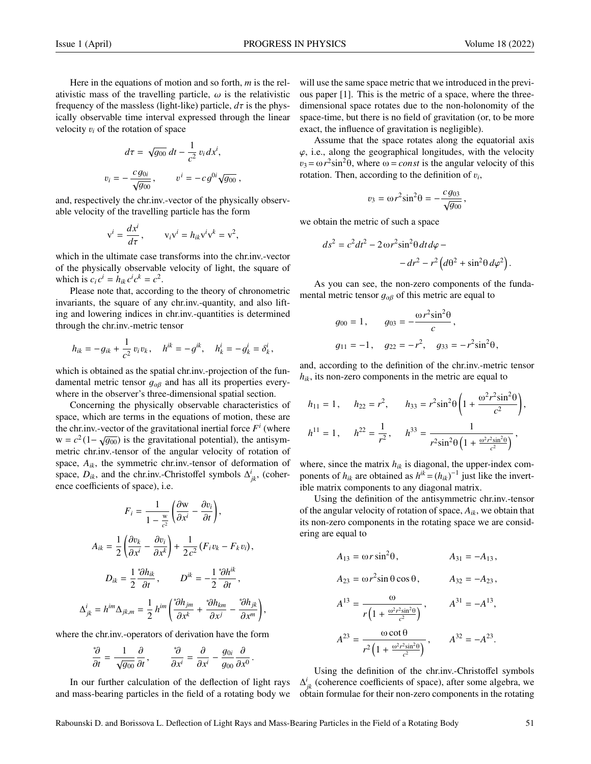Here in the equations of motion and so forth, *m* is the relativistic mass of the travelling particle,  $\omega$  is the relativistic frequency of the massless (light-like) particle,  $d\tau$  is the physically observable time interval expressed through the linear velocity <sup>v</sup>*<sup>i</sup>* of the rotation of space

$$
d\tau = \sqrt{g_{00}} dt - \frac{1}{c^2} v_i dx^i,
$$
  

$$
v_i = -\frac{c g_{0i}}{\sqrt{g_{00}}}, \qquad v^i = -c g^{0i} \sqrt{g_{00}},
$$

and, respectively the chr.inv.-vector of the physically observable velocity of the travelling particle has the form

$$
v^i = \frac{dx^i}{d\tau}, \qquad v_i v^i = h_{ik} v^i v^k = v^2,
$$

which in the ultimate case transforms into the chr.inv.-vector of the physically observable velocity of light, the square of which is  $c_i c^i = h_{ik} c^i c^k = c^2$ .

Please note that, according to the theory of chronometric invariants, the square of any chr.inv.-quantity, and also lifting and lowering indices in chr.inv.-quantities is determined through the chr.inv.-metric tensor

$$
h_{ik} = -g_{ik} + \frac{1}{c^2} v_i v_k
$$
,  $h^{ik} = -g^{ik}$ ,  $h^i_k = -g^i_k = \delta^i_k$ ,

which is obtained as the spatial chr.inv.-projection of the fundamental metric tensor  $g_{\alpha\beta}$  and has all its properties everywhere in the observer's three-dimensional spatial section.

Concerning the physically observable characteristics of space, which are terms in the equations of motion, these are the chr.inv.-vector of the gravitational inertial force  $F^i$  (where  $w = c^2 (1 - \sqrt{g_{00}})$  is the gravitational potential), the antisymmetric christian of the angular velocity of rotation of metric chr.inv.-tensor of the angular velocity of rotation of space,  $A_{ik}$ , the symmetric chr.inv.-tensor of deformation of space,  $D_{ik}$ , and the chr.inv.-Christoffel symbols  $\Delta^i_{jk}$ , (coherence coefficients of space), i.e.

$$
F_i = \frac{1}{1 - \frac{w}{c^2}} \left( \frac{\partial w}{\partial x^i} - \frac{\partial v_i}{\partial t} \right),
$$
  

$$
A_{ik} = \frac{1}{2} \left( \frac{\partial v_k}{\partial x^i} - \frac{\partial v_i}{\partial x^k} \right) + \frac{1}{2c^2} \left( F_i v_k - F_k v_i \right),
$$
  

$$
D_{ik} = \frac{1}{2} \frac{{}^* \partial h_{ik}}{\partial t}, \qquad D^{ik} = -\frac{1}{2} \frac{{}^* \partial h^{ik}}{\partial t},
$$
  

$$
\Delta^i_{jk} = h^{im} \Delta_{jk,m} = \frac{1}{2} h^{im} \left( \frac{{}^* \partial h_{jm}}{\partial x^k} + \frac{{}^* \partial h_{km}}{\partial x^j} - \frac{{}^* \partial h_{jk}}{\partial x^m} \right)
$$

where the chr.inv.-operators of derivation have the form

$$
\frac{\partial}{\partial t} = \frac{1}{\sqrt{g_{00}}} \frac{\partial}{\partial t}, \qquad \frac{\partial}{\partial x^i} = \frac{\partial}{\partial x^i} - \frac{g_{0i}}{g_{00}} \frac{\partial}{\partial x^0}
$$

In our further calculation of the deflection of light rays and mass-bearing particles in the field of a rotating body we will use the same space metric that we introduced in the previous paper [1]. This is the metric of a space, where the threedimensional space rotates due to the non-holonomity of the space-time, but there is no field of gravitation (or, to be more exact, the influence of gravitation is negligible).

Assume that the space rotates along the equatorial axis  $\varphi$ , i.e., along the geographical longitudes, with the velocity  $v_3 = \omega r^2 \sin^2 \theta$ , where  $\omega = const$  is the angular velocity of this rotation. Then according to the definition of  $v_1$ . rotation. Then, according to the definition of  $v_i$ ,

$$
v_3 = \omega r^2 \sin^2 \theta = -\frac{c g_{03}}{\sqrt{g_{00}}},
$$

we obtain the metric of such a space

 $ds^2$ 

$$
= c2 dt2 - 2 \omega r2 sin2 θ dt dφ -- dr2 - r2 (dθ2 + sin2 θ dφ2)
$$

As you can see, the non-zero components of the fundamental metric tensor  $q_{\alpha\beta}$  of this metric are equal to

$$
g_{00} = 1
$$
,  $g_{03} = -\frac{\omega r^2 \sin^2 \theta}{c}$ ,  
\n $g_{11} = -1$ ,  $g_{22} = -r^2$ ,  $g_{33} = -r^2 \sin^2 \theta$ ,

and, according to the definition of the chr.inv.-metric tensor *hik*, its non-zero components in the metric are equal to

$$
h_{11} = 1, \quad h_{22} = r^2, \quad h_{33} = r^2 \sin^2 \theta \left( 1 + \frac{\omega^2 r^2 \sin^2 \theta}{c^2} \right),
$$
  

$$
h^{11} = 1, \quad h^{22} = \frac{1}{r^2}, \quad h^{33} = \frac{1}{r^2 \sin^2 \theta \left( 1 + \frac{\omega^2 r^2 \sin^2 \theta}{c^2} \right)},
$$

where, since the matrix  $h_{ik}$  is diagonal, the upper-index components of  $h_{ik}$  are obtained as  $h^{ik} = (h_{ik})^{-1}$  just like the invertible matrix components to any diagonal matrix.

Using the definition of the antisymmetric chr.inv.-tensor of the angular velocity of rotation of space, *Aik*, we obtain that its non-zero components in the rotating space we are considering are equal to

$$
A_{13} = \omega r \sin^2 \theta, \qquad A_{31} = -A_{13},
$$
  
\n
$$
A_{23} = \omega r^2 \sin \theta \cos \theta, \qquad A_{32} = -A_{23},
$$
  
\n
$$
A^{13} = \frac{\omega}{r \left(1 + \frac{\omega^2 r^2 \sin^2 \theta}{c^2}\right)}, \qquad A^{31} = -A^{13},
$$
  
\n
$$
A^{23} = \frac{\omega \cot \theta}{r^2 \left(1 + \frac{\omega^2 r^2 \sin^2 \theta}{c^2}\right)}, \qquad A^{32} = -A^{23}.
$$

Using the definition of the chr.inv.-Christoffel symbols  $\Delta^i_{jk}$  (coherence coefficients of space), after some algebra, we obtain formulae for their non-zero components in the rotating

,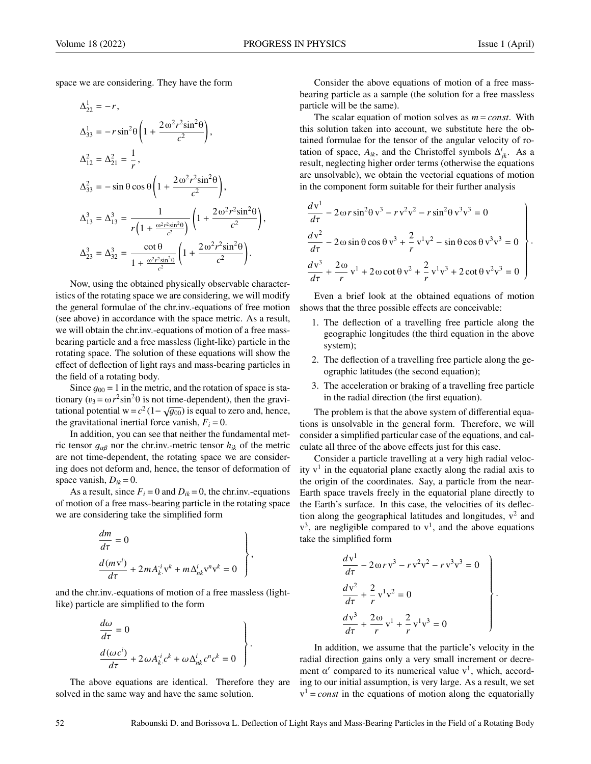space we are considering. They have the form

$$
\Delta_{22}^{1} = -r,
$$
\n
$$
\Delta_{33}^{1} = -r \sin^{2} \theta \left( 1 + \frac{2 \omega^{2} r^{2} \sin^{2} \theta}{c^{2}} \right),
$$
\n
$$
\Delta_{12}^{2} = \Delta_{21}^{2} = \frac{1}{r},
$$
\n
$$
\Delta_{33}^{2} = -\sin \theta \cos \theta \left( 1 + \frac{2 \omega^{2} r^{2} \sin^{2} \theta}{c^{2}} \right),
$$
\n
$$
\Delta_{13}^{3} = \Delta_{13}^{3} = \frac{1}{r \left( 1 + \frac{\omega^{2} r^{2} \sin^{2} \theta}{c^{2}} \right)} \left( 1 + \frac{2 \omega^{2} r^{2} \sin^{2} \theta}{c^{2}} \right),
$$
\n
$$
\Delta_{23}^{3} = \Delta_{32}^{3} = \frac{\cot \theta}{1 + \frac{\omega^{2} r^{2} \sin^{2} \theta}{c^{2}}} \left( 1 + \frac{2 \omega^{2} r^{2} \sin^{2} \theta}{c^{2}} \right).
$$

Now, using the obtained physically observable characteristics of the rotating space we are considering, we will modify the general formulae of the chr.inv.-equations of free motion (see above) in accordance with the space metric. As a result, we will obtain the chr.inv.-equations of motion of a free massbearing particle and a free massless (light-like) particle in the rotating space. The solution of these equations will show the effect of deflection of light rays and mass-bearing particles in the field of a rotating body.

Since  $q_{00} = 1$  in the metric, and the rotation of space is stationary  $(v_3 = \omega r^2 \sin^2 \theta$  is not time-dependent), then the gravi-<br>tational potential  $w = c^2 (1 - \sqrt{a_0})$  is equal to zero and hence tational potential w= $c^2(1-\sqrt{g_{00}})$  is equal to zero and, hence,<br>the gravitational inertial force vanish  $F_1 = 0$ the gravitational inertial force vanish,  $F_i = 0$ .

In addition, you can see that neither the fundamental metric tensor  $g_{\alpha\beta}$  nor the chr.inv.-metric tensor  $h_{ik}$  of the metric are not time-dependent, the rotating space we are considering does not deform and, hence, the tensor of deformation of space vanish,  $D_{ik} = 0$ .

As a result, since  $F_i = 0$  and  $D_{ik} = 0$ , the chr.inv.-equations of motion of a free mass-bearing particle in the rotating space we are considering take the simplified form

$$
\frac{dm}{d\tau} = 0
$$
\n
$$
\frac{d(mv^{i})}{d\tau} + 2mA_{k}^{i}v^{k} + m\Delta^{i}_{nk}v^{n}v^{k} = 0
$$

and the chr.inv.-equations of motion of a free massless (lightlike) particle are simplified to the form

$$
\frac{d\omega}{d\tau} = 0
$$
\n
$$
\frac{d(\omega c^{i})}{d\tau} + 2\omega A_{k}^{i}c^{k} + \omega \Delta_{nk}^{i}c^{n}c^{k} = 0
$$

The above equations are identical. Therefore they are solved in the same way and have the same solution.

Consider the above equations of motion of a free massbearing particle as a sample (the solution for a free massless particle will be the same).

The scalar equation of motion solves as  $m = const$ . With this solution taken into account, we substitute here the obtained formulae for the tensor of the angular velocity of rotation of space,  $A_{ik}$ , and the Christoffel symbols  $\Delta^i_{jk}$ . As a result, neglecting higher order terms (otherwise the equations are unsolvable), we obtain the vectorial equations of motion in the component form suitable for their further analysis

$$
\frac{dv^{1}}{d\tau} - 2 \omega r \sin^{2} \theta v^{3} - r v^{2} v^{2} - r \sin^{2} \theta v^{3} v^{3} = 0
$$
\n
$$
\frac{dv^{2}}{d\tau} - 2 \omega \sin \theta \cos \theta v^{3} + \frac{2}{r} v^{1} v^{2} - \sin \theta \cos \theta v^{3} v^{3} = 0
$$
\n
$$
\frac{dv^{3}}{d\tau} + \frac{2 \omega}{r} v^{1} + 2 \omega \cot \theta v^{2} + \frac{2}{r} v^{1} v^{3} + 2 \cot \theta v^{2} v^{3} = 0
$$

Even a brief look at the obtained equations of motion shows that the three possible effects are conceivable:

- 1. The deflection of a travelling free particle along the geographic longitudes (the third equation in the above system);
- 2. The deflection of a travelling free particle along the geographic latitudes (the second equation);
- 3. The acceleration or braking of a travelling free particle in the radial direction (the first equation).

The problem is that the above system of differential equations is unsolvable in the general form. Therefore, we will consider a simplified particular case of the equations, and calculate all three of the above effects just for this case.

Consider a particle travelling at a very high radial velocity  $v<sup>1</sup>$  in the equatorial plane exactly along the radial axis to the origin of the coordinates. Say, a particle from the near-Earth space travels freely in the equatorial plane directly to the Earth's surface. In this case, the velocities of its deflection along the geographical latitudes and longitudes,  $v^2$  and  $v<sup>3</sup>$ , are negligible compared to  $v<sup>1</sup>$ , and the above equations take the simplified form

$$
\begin{aligned}\n\frac{dv^1}{d\tau} - 2\omega r v^3 - r v^2 v^2 - r v^3 v^3 &= 0 \\
\frac{dv^2}{d\tau} + \frac{2}{r} v^1 v^2 &= 0 \\
\frac{dv^3}{d\tau} + \frac{2\omega}{r} v^1 + \frac{2}{r} v^1 v^3 &= 0\n\end{aligned}
$$

In addition, we assume that the particle's velocity in the radial direction gains only a very small increment or decrement  $\alpha'$  compared to its numerical value  $v<sup>1</sup>$ , which, according to our initial assumption, is very large. As a result, we set  $v<sup>1</sup> = const$  in the equations of motion along the equatorially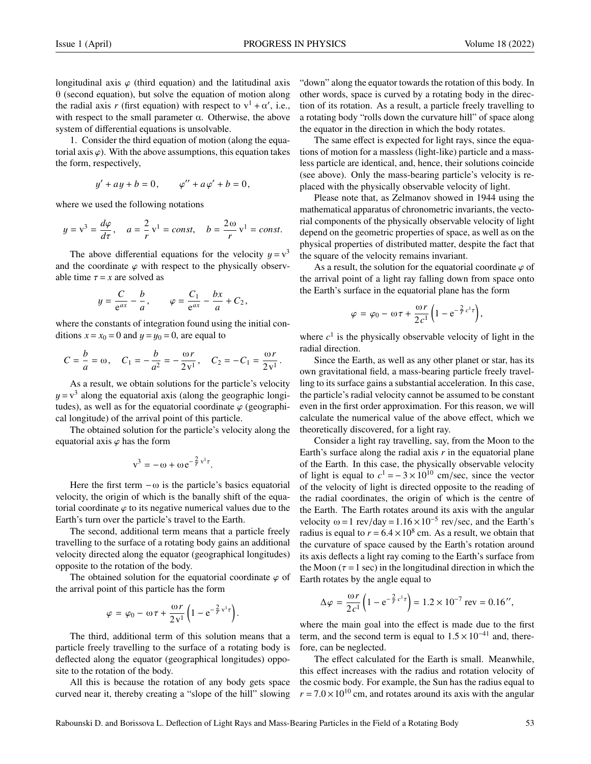longitudinal axis  $\varphi$  (third equation) and the latitudinal axis  $\theta$  (second equation), but solve the equation of motion along the radial axis *r* (first equation) with respect to  $v^1 + \alpha'$ , i.e., with respect to the small parameter  $\alpha$ . Otherwise, the above system of differential equations is unsolvable.

1. Consider the third equation of motion (along the equatorial axis  $\varphi$ ). With the above assumptions, this equation takes the form, respectively,

$$
y' + ay + b = 0
$$
,  $\varphi'' + a\varphi' + b = 0$ ,

where we used the following notations

$$
y = v3 = \frac{d\varphi}{d\tau}, \quad a = \frac{2}{r}v^{1} = const, \quad b = \frac{2\omega}{r}v^{1} = const.
$$

The above differential equations for the velocity  $y = v<sup>3</sup>$  the coordinate  $\varphi$  with respect to the physically observand the coordinate  $\varphi$  with respect to the physically observable time  $\tau = x$  are solved as

$$
y = \frac{C}{e^{ax}} - \frac{b}{a}, \qquad \varphi = \frac{C_1}{e^{ax}} - \frac{bx}{a} + C_2,
$$

where the constants of integration found using the initial conditions  $x = x_0 = 0$  and  $y = y_0 = 0$ , are equal to

$$
C = \frac{b}{a} = \omega
$$
,  $C_1 = -\frac{b}{a^2} = -\frac{\omega r}{2v^1}$ ,  $C_2 = -C_1 = \frac{\omega r}{2v^1}$ .

As a result, we obtain solutions for the particle's velocity  $y = v<sup>3</sup>$  along the equatorial axis (along the geographic longitudes) as well as for the equatorial coordinate  $\alpha$  (geographic tudes), as well as for the equatorial coordinate  $\varphi$  (geographical longitude) of the arrival point of this particle.

The obtained solution for the particle's velocity along the equatorial axis  $\varphi$  has the form

$$
v^3 = -\omega + \omega e^{-\frac{2}{r}v^1\tau}.
$$

Here the first term  $-\omega$  is the particle's basics equatorial velocity, the origin of which is the banally shift of the equatorial coordinate  $\varphi$  to its negative numerical values due to the Earth's turn over the particle's travel to the Earth.

The second, additional term means that a particle freely travelling to the surface of a rotating body gains an additional velocity directed along the equator (geographical longitudes) opposite to the rotation of the body.

The obtained solution for the equatorial coordinate  $\varphi$  of the arrival point of this particle has the form

$$
\varphi = \varphi_0 - \omega \tau + \frac{\omega r}{2v^1} \left( 1 - e^{-\frac{2}{r}v^1 \tau} \right).
$$

The third, additional term of this solution means that a particle freely travelling to the surface of a rotating body is deflected along the equator (geographical longitudes) opposite to the rotation of the body.

All this is because the rotation of any body gets space curved near it, thereby creating a "slope of the hill" slowing "down" along the equator towards the rotation of this body. In other words, space is curved by a rotating body in the direction of its rotation. As a result, a particle freely travelling to a rotating body "rolls down the curvature hill" of space along the equator in the direction in which the body rotates.

The same effect is expected for light rays, since the equations of motion for a massless (light-like) particle and a massless particle are identical, and, hence, their solutions coincide (see above). Only the mass-bearing particle's velocity is replaced with the physically observable velocity of light.

Please note that, as Zelmanov showed in 1944 using the mathematical apparatus of chronometric invariants, the vectorial components of the physically observable velocity of light depend on the geometric properties of space, as well as on the physical properties of distributed matter, despite the fact that the square of the velocity remains invariant.

As a result, the solution for the equatorial coordinate  $\varphi$  of the arrival point of a light ray falling down from space onto the Earth's surface in the equatorial plane has the form

$$
\varphi = \varphi_0 - \omega \tau + \frac{\omega r}{2c^1} \left( 1 - e^{-\frac{2}{r}c^1 \tau} \right),
$$

where  $c<sup>1</sup>$  is the physically observable velocity of light in the radial direction.

Since the Earth, as well as any other planet or star, has its own gravitational field, a mass-bearing particle freely travelling to its surface gains a substantial acceleration. In this case, the particle's radial velocity cannot be assumed to be constant even in the first order approximation. For this reason, we will calculate the numerical value of the above effect, which we theoretically discovered, for a light ray.

Consider a light ray travelling, say, from the Moon to the Earth's surface along the radial axis *r* in the equatorial plane of the Earth. In this case, the physically observable velocity of light is equal to  $c^1 = -3 \times 10^{10}$  cm/sec, since the vector<br>of the velocity of light is directed opposite to the reading of of the velocity of light is directed opposite to the reading of the radial coordinates, the origin of which is the centre of the Earth. The Earth rotates around its axis with the angular velocity  $\omega = 1$  rev/day =  $1.16 \times 10^{-5}$  rev/sec, and the Earth's radius is equal to  $r = 6.4 \times 10^8$  cm. As a result, we obtain that radius is equal to  $r = 6.4 \times 10^8$  cm. As a result, we obtain that the curvature of space caused by the Earth's rotation around the curvature of space caused by the Earth's rotation around its axis deflects a light ray coming to the Earth's surface from the Moon ( $\tau = 1$  sec) in the longitudinal direction in which the Earth rotates by the angle equal to

$$
\Delta \varphi = \frac{\omega r}{2c^1} \left( 1 - e^{-\frac{2}{r}c^1 \tau} \right) = 1.2 \times 10^{-7} \text{ rev} = 0.16'',
$$

where the main goal into the effect is made due to the first term, and the second term is equal to  $1.5 \times 10^{-41}$  and, therefore, can be neglected.

The effect calculated for the Earth is small. Meanwhile, this effect increases with the radius and rotation velocity of the cosmic body. For example, the Sun has the radius equal to  $r = 7.0 \times 10^{10}$  cm, and rotates around its axis with the angular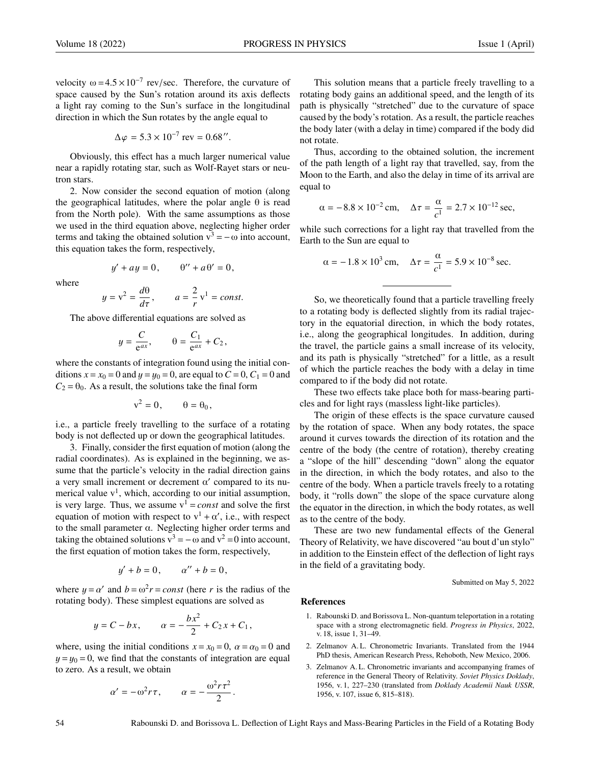velocity  $\omega = 4.5 \times 10^{-7}$  rev/sec. Therefore, the curvature of space caused by the Sun's rotation around its axis deflects a light ray coming to the Sun's surface in the longitudinal direction in which the Sun rotates by the angle equal to

$$
\Delta \varphi = 5.3 \times 10^{-7} \text{ rev} = 0.68''.
$$

Obviously, this effect has a much larger numerical value near a rapidly rotating star, such as Wolf-Rayet stars or neutron stars.

2. Now consider the second equation of motion (along the geographical latitudes, where the polar angle  $\theta$  is read from the North pole). With the same assumptions as those we used in the third equation above, neglecting higher order terms and taking the obtained solution  $v^3 = -\omega$  into account, this equation takes the form, respectively,

$$
y' + ay = 0, \qquad \theta'' + a\theta' = 0,
$$

where

$$
y = v^2 = \frac{d\theta}{d\tau}
$$
,  $a = \frac{2}{r}v^1 = const.$ 

 $d\tau$  *d*<sub>τ</sub> *r constructions* 

$$
y = \frac{C}{e^{ax}}, \qquad \theta = \frac{C_1}{e^{ax}} + C_2,
$$

where the constants of integration found using the initial conditions  $x = x_0 = 0$  and  $y = y_0 = 0$ , are equal to  $C = 0$ ,  $C_1 = 0$  and  $C_2 = \theta_0$ . As a result, the solutions take the final form

$$
v^2 = 0, \qquad \theta = \theta_0,
$$

i.e., a particle freely travelling to the surface of a rotating body is not deflected up or down the geographical latitudes.

3. Finally, consider the first equation of motion (along the radial coordinates). As is explained in the beginning, we assume that the particle's velocity in the radial direction gains a very small increment or decrement  $\alpha'$  compared to its numerical value  $v<sup>1</sup>$ , which, according to our initial assumption, is very large. Thus, we assume  $v^1 = const$  and solve the first equation of motion with respect to  $v^1 + \alpha'$ , i.e., with respect to the small parameter α. Neglecting higher order terms and taking the obtained solutions  $v^3 = -\omega$  and  $v^2 = 0$  into account, the first equation of motion takes the form, respectively,

$$
y' + b = 0
$$
,  $a'' + b = 0$ ,

where  $y = \alpha'$  and  $b = \omega^2 r = const$  (here *r* is the radius of the rotating body). These simplest equations are solved as rotating body). These simplest equations are solved as

$$
y = C - bx
$$
,  $\alpha = -\frac{bx^2}{2} + C_2 x + C_1$ ,

where, using the initial conditions  $x = x_0 = 0$ ,  $\alpha = \alpha_0 = 0$  and  $y = y_0 = 0$ , we find that the constants of integration are equal to zero. As a result, we obtain

$$
\alpha' = -\omega^2 r \tau, \qquad \alpha = -\frac{\omega^2 r \tau^2}{2}.
$$

This solution means that a particle freely travelling to a rotating body gains an additional speed, and the length of its path is physically "stretched" due to the curvature of space caused by the body's rotation. As a result, the particle reaches the body later (with a delay in time) compared if the body did not rotate.

Thus, according to the obtained solution, the increment of the path length of a light ray that travelled, say, from the Moon to the Earth, and also the delay in time of its arrival are equal to

$$
\alpha = -8.8 \times 10^{-2}
$$
 cm,  $\Delta \tau = \frac{\alpha}{c^1} = 2.7 \times 10^{-12}$  sec,

while such corrections for a light ray that travelled from the Earth to the Sun are equal to

$$
\alpha = -1.8 \times 10^3 \text{ cm}, \quad \Delta \tau = \frac{\alpha}{c^1} = 5.9 \times 10^{-8} \text{ sec}.
$$

So, we theoretically found that a particle travelling freely to a rotating body is deflected slightly from its radial trajectory in the equatorial direction, in which the body rotates, i.e., along the geographical longitudes. In addition, during the travel, the particle gains a small increase of its velocity, and its path is physically "stretched" for a little, as a result of which the particle reaches the body with a delay in time compared to if the body did not rotate.

These two effects take place both for mass-bearing particles and for light rays (massless light-like particles).

The origin of these effects is the space curvature caused by the rotation of space. When any body rotates, the space around it curves towards the direction of its rotation and the centre of the body (the centre of rotation), thereby creating a "slope of the hill" descending "down" along the equator in the direction, in which the body rotates, and also to the centre of the body. When a particle travels freely to a rotating body, it "rolls down" the slope of the space curvature along the equator in the direction, in which the body rotates, as well as to the centre of the body.

These are two new fundamental effects of the General Theory of Relativity, we have discovered "au bout d'un stylo" in addition to the Einstein effect of the deflection of light rays in the field of a gravitating body.

Submitted on May 5, 2022

## References

- 1. Rabounski D. and Borissova L. Non-quantum teleportation in a rotating space with a strong electromagnetic field. *Progress in Physics*, 2022, v. 18, issue 1, 31–49.
- 2. Zelmanov A. L. Chronometric Invariants. Translated from the 1944 PhD thesis, American Research Press, Rehoboth, New Mexico, 2006.
- 3. Zelmanov A. L. Chronometric invariants and accompanying frames of reference in the General Theory of Relativity. *Soviet Physics Doklady*, 1956, v. 1, 227–230 (translated from *Doklady Academii Nauk USSR*, 1956, v. 107, issue 6, 815–818).